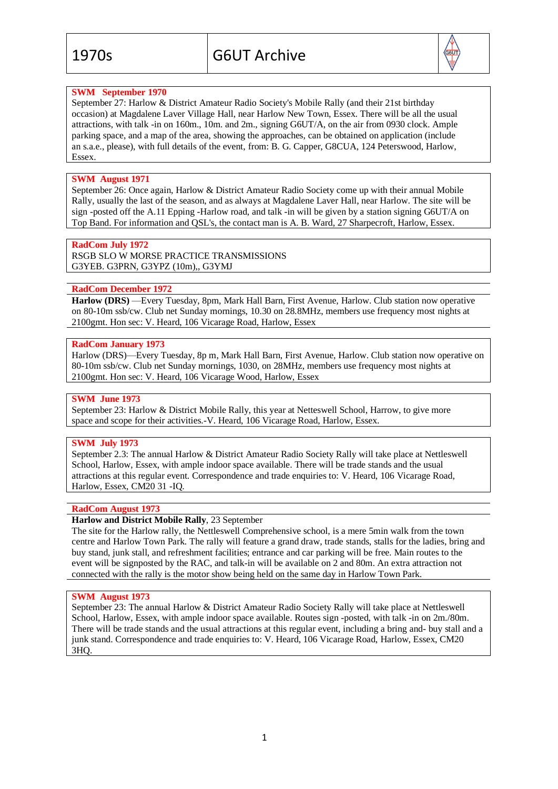

# **SWM September 1970**

September 27: Harlow & District Amateur Radio Society's Mobile Rally (and their 21st birthday occasion) at Magdalene Laver Village Hall, near Harlow New Town, Essex. There will be all the usual attractions, with talk -in on 160m., 10m. and 2m., signing G6UT/A, on the air from 0930 clock. Ample parking space, and a map of the area, showing the approaches, can be obtained on application (include an s.a.e., please), with full details of the event, from: B. G. Capper, G8CUA, 124 Peterswood, Harlow, Essex.

# **SWM August 1971**

September 26: Once again, Harlow & District Amateur Radio Society come up with their annual Mobile Rally, usually the last of the season, and as always at Magdalene Laver Hall, near Harlow. The site will be sign -posted off the A.11 Epping -Harlow road, and talk -in will be given by a station signing G6UT/A on Top Band. For information and QSL's, the contact man is A. B. Ward, 27 Sharpecroft, Harlow, Essex.

#### **RadCom July 1972**

RSGB SLO W MORSE PRACTICE TRANSMISSIONS G3YEB. G3PRN, G3YPZ (10m),, G3YMJ

#### **RadCom December 1972**

**Harlow (DRS)** —Every Tuesday, 8pm, Mark Hall Barn, First Avenue, Harlow. Club station now operative on 80-10m ssb/cw. Club net Sunday mornings, 10.30 on 28.8MHz, members use frequency most nights at 2100gmt. Hon sec: V. Heard, 106 Vicarage Road, Harlow, Essex

#### **RadCom January 1973**

Harlow (DRS)—Every Tuesday, 8p m, Mark Hall Barn, First Avenue, Harlow. Club station now operative on 80-10m ssb/cw. Club net Sunday mornings, 1030, on 28MHz, members use frequency most nights at 2100gmt. Hon sec: V. Heard, 106 Vicarage Wood, Harlow, Essex

#### **SWM June 1973**

September 23: Harlow & District Mobile Rally, this year at Netteswell School, Harrow, to give more space and scope for their activities.-V. Heard, 106 Vicarage Road, Harlow, Essex.

### **SWM July 1973**

September 2.3: The annual Harlow & District Amateur Radio Society Rally will take place at Nettleswell School, Harlow, Essex, with ample indoor space available. There will be trade stands and the usual attractions at this regular event. Correspondence and trade enquiries to: V. Heard, 106 Vicarage Road, Harlow, Essex, CM20 31 -IQ.

### **RadCom August 1973**

### **Harlow and District Mobile Rally**, 23 September

The site for the Harlow rally, the Nettleswell Comprehensive school, is a mere 5min walk from the town centre and Harlow Town Park. The rally will feature a grand draw, trade stands, stalls for the ladies, bring and buy stand, junk stall, and refreshment facilities; entrance and car parking will be free. Main routes to the event will be signposted by the RAC, and talk-in will be available on 2 and 80m. An extra attraction not connected with the rally is the motor show being held on the same day in Harlow Town Park.

#### **SWM August 1973**

September 23: The annual Harlow & District Amateur Radio Society Rally will take place at Nettleswell School, Harlow, Essex, with ample indoor space available. Routes sign -posted, with talk -in on 2m./80m. There will be trade stands and the usual attractions at this regular event, including a bring and- buy stall and a junk stand. Correspondence and trade enquiries to: V. Heard, 106 Vicarage Road, Harlow, Essex, CM20 3HQ.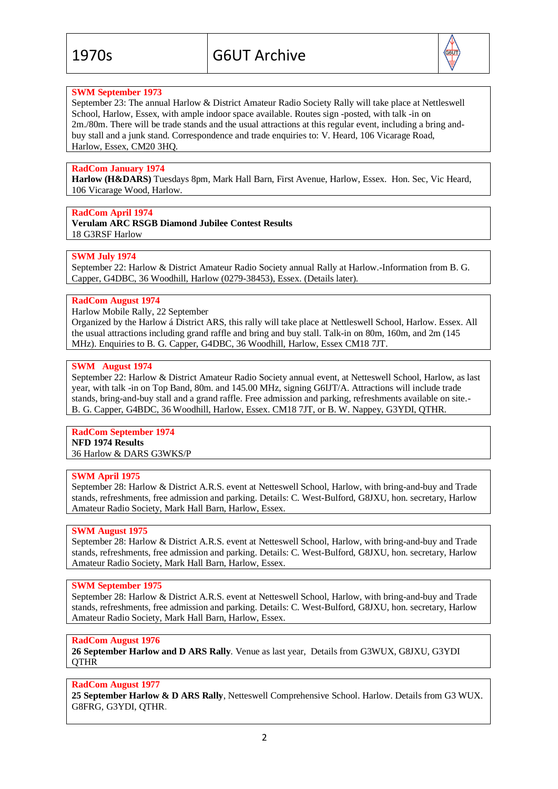

# **SWM September 1973**

September 23: The annual Harlow & District Amateur Radio Society Rally will take place at Nettleswell School, Harlow, Essex, with ample indoor space available. Routes sign -posted, with talk -in on 2m./80m. There will be trade stands and the usual attractions at this regular event, including a bring andbuy stall and a junk stand. Correspondence and trade enquiries to: V. Heard, 106 Vicarage Road, Harlow, Essex, CM20 3HQ.

## **RadCom January 1974**

**Harlow (H&DARS)** Tuesdays 8pm, Mark Hall Barn, First Avenue, Harlow, Essex. Hon. Sec, Vic Heard, 106 Vicarage Wood, Harlow.

# **RadCom April 1974**

**Verulam ARC RSGB Diamond Jubilee Contest Results** 18 G3RSF Harlow

# **SWM July 1974**

September 22: Harlow & District Amateur Radio Society annual Rally at Harlow.-Information from B. G. Capper, G4DBC, 36 Woodhill, Harlow (0279-38453), Essex. (Details later).

### **RadCom August 1974**

Harlow Mobile Rally, 22 September

Organized by the Harlow á District ARS, this rally will take place at Nettleswell School, Harlow. Essex. All the usual attractions including grand raffle and bring and buy stall. Talk-in on 80m, 160m, and 2m (145 MHz). Enquiries to B. G. Capper, G4DBC, 36 Woodhill, Harlow, Essex CM18 7JT.

### **SWM August 1974**

September 22: Harlow & District Amateur Radio Society annual event, at Netteswell School, Harlow, as last year, with talk -in on Top Band, 80m. and 145.00 MHz, signing G6IJT/A. Attractions will include trade stands, bring-and-buy stall and a grand raffle. Free admission and parking, refreshments available on site.- B. G. Capper, G4BDC, 36 Woodhill, Harlow, Essex. CM18 7JT, or B. W. Nappey, G3YDI, QTHR.

#### **RadCom September 1974 NFD 1974 Results** 36 Harlow & DARS G3WKS/P

### **SWM April 1975**

September 28: Harlow & District A.R.S. event at Netteswell School, Harlow, with bring-and-buy and Trade stands, refreshments, free admission and parking. Details: C. West-Bulford, G8JXU, hon. secretary, Harlow Amateur Radio Society, Mark Hall Barn, Harlow, Essex.

### **SWM August 1975**

September 28: Harlow & District A.R.S. event at Netteswell School, Harlow, with bring-and-buy and Trade stands, refreshments, free admission and parking. Details: C. West-Bulford, G8JXU, hon. secretary, Harlow Amateur Radio Society, Mark Hall Barn, Harlow, Essex.

### **SWM September 1975**

September 28: Harlow & District A.R.S. event at Netteswell School, Harlow, with bring-and-buy and Trade stands, refreshments, free admission and parking. Details: C. West-Bulford, G8JXU, hon. secretary, Harlow Amateur Radio Society, Mark Hall Barn, Harlow, Essex.

### **RadCom August 1976**

**26 September Harlow and D ARS Rally**. Venue as last year, Details from G3WUX, G8JXU, G3YDI **OTHR** 

## **RadCom August 1977**

**25 September Harlow & D ARS Rally**, Netteswell Comprehensive School. Harlow. Details from G3 WUX. G8FRG, G3YDI, QTHR.